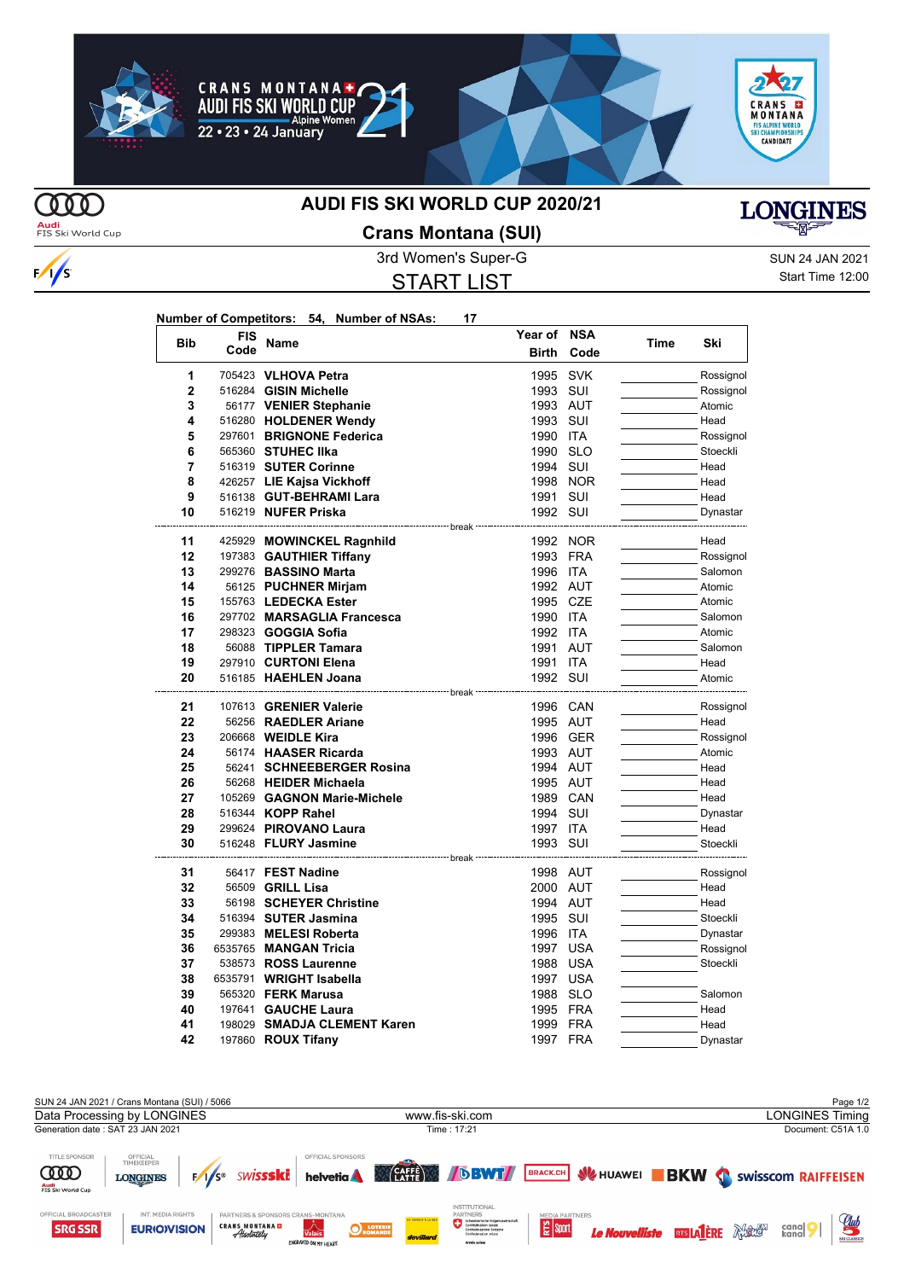









 $\frac{1}{s}$ 

## **AUDI FIS SKI WORLD CUP 2020/21**



**Audi**<br>FIS Ski World Cup

## **Crans Montana (SUI)**

START LIST

3rd Women's Super-G Super-G SUN 24 JAN 2021 Start Time 12:00

| Number of Competitors: 54, Number of NSAs: |  | 17 |
|--------------------------------------------|--|----|
|                                            |  |    |

|                | <b>FIS</b> |                                                  | Year of                           | <b>NSA</b> |      |                  |
|----------------|------------|--------------------------------------------------|-----------------------------------|------------|------|------------------|
| <b>Bib</b>     | Code       | Name                                             | <b>Birth</b>                      | Code       | Time | Ski              |
| 1              |            | 705423 VLHOVA Petra                              | 1995                              | <b>SVK</b> |      | Rossignol        |
| $\overline{2}$ |            | 516284 GISIN Michelle                            | 1993                              | SUI        |      | Rossignol        |
| 3              |            | 56177 VENIER Stephanie                           | 1993 AUT                          |            |      | Atomic           |
| 4              |            | 516280 HOLDENER Wendy                            | 1993                              | SUI        |      | Head             |
| 5              |            | 297601 BRIGNONE Federica                         | 1990                              | <b>ITA</b> |      | Rossignol        |
| 6              |            | 565360 STUHEC IIka                               | 1990                              | <b>SLO</b> |      | Stoeckli         |
| 7              |            | 516319 SUTER Corinne                             | 1994                              | SUI        |      | Head             |
| 8              |            | 426257 LIE Kajsa Vickhoff                        | 1998                              | <b>NOR</b> |      | Head             |
| 9              |            | 516138 GUT-BEHRAMI Lara                          | 1991                              | SUI        |      | Head             |
| 10             |            | 516219 NUFER Priska                              | 1992 SUI                          |            |      | Dynastar         |
| 11             |            | 425929 MOWINCKEL Ragnhild                        | <sup>---</sup> break <sup>.</sup> | 1992 NOR   |      | Head             |
| 12             |            | 197383 GAUTHIER Tiffany                          | 1993 FRA                          |            |      | Rossignol        |
| 13             |            | 299276 BASSINO Marta                             | 1996 ITA                          |            |      | Salomon          |
| 14             |            | 56125 PUCHNER Mirjam                             | 1992 AUT                          |            |      | Atomic           |
| 15             |            | 155763 LEDECKA Ester                             | 1995 CZE                          |            |      | Atomic           |
| 16             |            | 297702 MARSAGLIA Francesca                       | 1990 ITA                          |            |      | Salomon          |
| 17             |            | 298323 <b>GOGGIA Sofia</b>                       | 1992 ITA                          |            |      | Atomic           |
| 18             |            | 56088 TIPPLER Tamara                             | 1991                              | <b>AUT</b> |      | Salomon          |
| 19             |            | 297910 CURTONI Elena                             | 1991                              | <b>ITA</b> |      | Head             |
| 20             |            | 516185 HAEHLEN Joana                             | 1992 SUI                          |            |      | Atomic           |
|                |            |                                                  | --------------------              |            |      |                  |
| 21             |            | 107613 GRENIER Valerie                           | 1996 CAN                          |            |      | Rossignol        |
| 22             |            | 56256 RAEDLER Ariane                             | 1995 AUT                          |            |      | Head             |
| 23             |            | 206668 <b>WEIDLE Kira</b>                        |                                   | 1996 GER   |      | Rossignol        |
| 24             |            | 56174 HAASER Ricarda                             | 1993 AUT                          |            |      | Atomic           |
| 25<br>26       |            | 56241 SCHNEEBERGER Rosina                        | 1994 AUT<br>1995 AUT              |            |      | Head             |
| 27             |            | 56268 HEIDER Michaela                            |                                   |            |      | Head             |
| 28             |            | 105269 GAGNON Marie-Michele<br>516344 KOPP Rahel | 1989 CAN<br>1994 SUI              |            |      | Head             |
| 29             |            | 299624 PIROVANO Laura                            | 1997 ITA                          |            |      | Dynastar<br>Head |
| 30             |            | 516248 FLURY Jasmine                             | 1993                              | SUI        |      | Stoeckli         |
|                |            | ------------------- break -                      |                                   |            |      |                  |
| 31             |            | 56417 FEST Nadine                                | 1998 AUT                          |            |      | Rossignol        |
| 32             |            | 56509 GRILL Lisa                                 | 2000 AUT                          |            |      | Head             |
| 33             |            | 56198 SCHEYER Christine                          | 1994 AUT                          |            |      | Head             |
| 34             |            | 516394 SUTER Jasmina                             | 1995 SUI                          |            |      | Stoeckli         |
| 35             |            | 299383 MELESI Roberta                            | 1996 ITA                          |            |      | Dynastar         |
| 36             |            | 6535765 MANGAN Tricia                            | 1997                              | <b>USA</b> |      | Rossignol        |
| 37             |            | 538573 ROSS Laurenne                             | 1988                              | <b>USA</b> |      | Stoeckli         |
| 38             |            | 6535791 WRIGHT Isabella                          | 1997 USA                          |            |      |                  |
| 39             |            | 565320 <b>FERK Marusa</b>                        | 1988                              | <b>SLO</b> |      | Salomon          |
| 40             |            | 197641 GAUCHE Laura                              | 1995 FRA                          |            |      | Head             |
| 41             |            | 198029 SMADJA CLEMENT Karen                      | 1999 FRA                          |            |      | Head             |
| 42             |            | 197860 <b>ROUX Tifany</b>                        | 1997                              | <b>FRA</b> |      | Dynastar         |